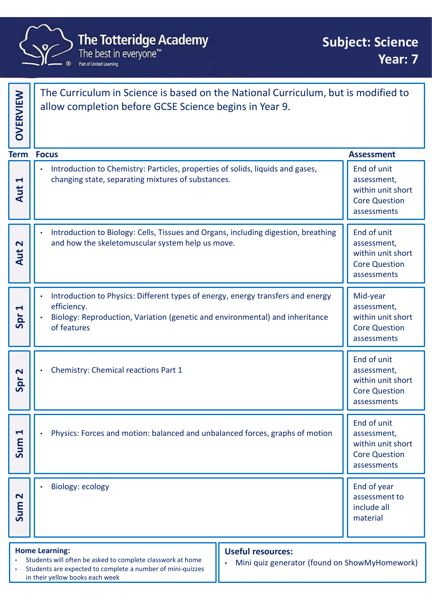

| <b>The Totteridge Academy</b><br><b>Subject: Science</b><br>The best in everyone™<br>Year: 7<br>Part of United Learning |                                                                                                                                                                                                                                                                   |                                                                                        |  |  |
|-------------------------------------------------------------------------------------------------------------------------|-------------------------------------------------------------------------------------------------------------------------------------------------------------------------------------------------------------------------------------------------------------------|----------------------------------------------------------------------------------------|--|--|
| OVERVIEW                                                                                                                | The Curriculum in Science is based on the National Curriculum, but is modified to<br>allow completion before GCSE Science begins in Year 9.                                                                                                                       |                                                                                        |  |  |
| <b>Term</b>                                                                                                             | <b>Focus</b>                                                                                                                                                                                                                                                      | <b>Assessment</b>                                                                      |  |  |
| $\blacktriangleleft$<br>Aut                                                                                             | Introduction to Chemistry: Particles, properties of solids, liquids and gases,<br>changing state, separating mixtures of substances.                                                                                                                              | End of unit<br>assessment,<br>within unit short<br><b>Core Question</b><br>assessments |  |  |
| $\overline{\mathbf{N}}$<br>Aut                                                                                          | Introduction to Biology: Cells, Tissues and Organs, including digestion, breathing<br>and how the skeletomuscular system help us move.                                                                                                                            | End of unit<br>assessment,<br>within unit short<br><b>Core Question</b><br>assessments |  |  |
| $\blacktriangleleft$<br>Spr                                                                                             | Introduction to Physics: Different types of energy, energy transfers and energy<br>efficiency.<br>Biology: Reproduction, Variation (genetic and environmental) and inheritance<br>of features                                                                     | Mid-year<br>assessment,<br>within unit short<br><b>Core Question</b><br>assessments    |  |  |
| $\mathbf{\Omega}$<br>Spr                                                                                                | Chemistry: Chemical reactions Part 1<br>$\bullet$                                                                                                                                                                                                                 | End of unit<br>assessment,<br>within unit short<br><b>Core Question</b><br>assessments |  |  |
| $\blacktriangleleft$<br>Sum                                                                                             | Physics: Forces and motion: balanced and unbalanced forces, graphs of motion                                                                                                                                                                                      | End of unit<br>assessment,<br>within unit short<br><b>Core Question</b><br>assessments |  |  |
| $\mathbf N$<br>Sum                                                                                                      | <b>Biology: ecology</b>                                                                                                                                                                                                                                           | End of year<br>assessment to<br>include all<br>material                                |  |  |
|                                                                                                                         | <b>Home Learning:</b><br><b>Useful resources:</b><br>Students will often be asked to complete classwork at home<br>Mini quiz generator (found on ShowMyHomework)<br>Students are expected to complete a number of mini-quizzes<br>in their yellow books each week |                                                                                        |  |  |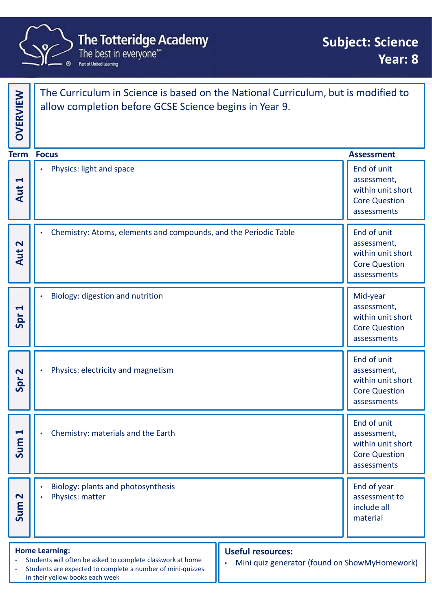

|                             | <b>The Totteridge Academy</b><br>The best in everyone <sup>™</sup><br>Part of United Learning<br>ര                                                                                                                                                                             |  | <b>Subject: Science</b><br>Year: 8                                                     |  |
|-----------------------------|--------------------------------------------------------------------------------------------------------------------------------------------------------------------------------------------------------------------------------------------------------------------------------|--|----------------------------------------------------------------------------------------|--|
| <b>OVERVIEW</b>             | The Curriculum in Science is based on the National Curriculum, but is modified to<br>allow completion before GCSE Science begins in Year 9.                                                                                                                                    |  |                                                                                        |  |
|                             | <b>Term Focus</b>                                                                                                                                                                                                                                                              |  | <b>Assessment</b>                                                                      |  |
| $\blacktriangleleft$<br>Aut | Physics: light and space<br>$\bullet$                                                                                                                                                                                                                                          |  | End of unit<br>assessment,<br>within unit short<br><b>Core Question</b><br>assessments |  |
| $\mathbf{\Omega}$<br>Aut    | Chemistry: Atoms, elements and compounds, and the Periodic Table<br>$\bullet$                                                                                                                                                                                                  |  | End of unit<br>assessment,<br>within unit short<br><b>Core Question</b><br>assessments |  |
| $\blacktriangleleft$        | Biology: digestion and nutrition<br>Spr                                                                                                                                                                                                                                        |  | Mid-year<br>assessment,<br>within unit short<br><b>Core Question</b><br>assessments    |  |
| $\overline{\mathbf{C}}$     | Physics: electricity and magnetism<br>$\bullet$<br>Spr                                                                                                                                                                                                                         |  | End of unit<br>assessment,<br>within unit short<br><b>Core Question</b><br>assessments |  |
| $\blacktriangleleft$<br>Sum | Chemistry: materials and the Earth<br>$\bullet$                                                                                                                                                                                                                                |  | End of unit<br>assessment,<br>within unit short<br><b>Core Question</b><br>assessments |  |
| $\mathbf{\Omega}$           | Biology: plants and photosynthesis<br>Physics: matter<br>$\bullet$<br>Sum                                                                                                                                                                                                      |  | End of year<br>assessment to<br>include all<br>material                                |  |
|                             | <b>Home Learning:</b><br><b>Useful resources:</b><br>Students will often be asked to complete classwork at home<br>Mini quiz generator (found on ShowMyHomework)<br>$\bullet$<br>Students are expected to complete a number of mini-quizzes<br>in their yellow books each week |  |                                                                                        |  |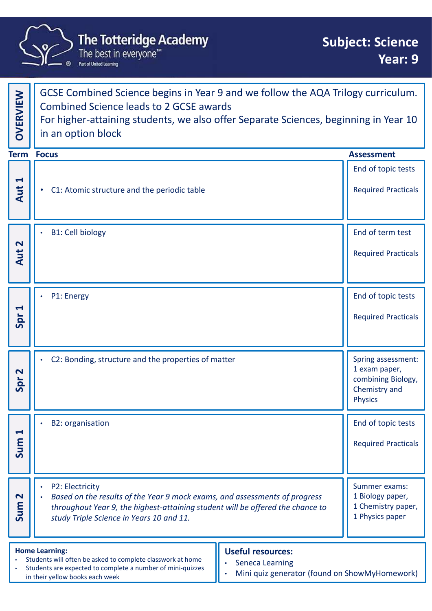

| <b>The Totteridge Academy</b><br><b>Subject: Science</b><br>The best in everyone™<br>Year: 9<br>Part of United Learning |                                                                                                                                                                                                                                                  |                                               |                                                                            |  |
|-------------------------------------------------------------------------------------------------------------------------|--------------------------------------------------------------------------------------------------------------------------------------------------------------------------------------------------------------------------------------------------|-----------------------------------------------|----------------------------------------------------------------------------|--|
| OVERVIEW                                                                                                                | GCSE Combined Science begins in Year 9 and we follow the AQA Trilogy curriculum.<br><b>Combined Science leads to 2 GCSE awards</b><br>For higher-attaining students, we also offer Separate Sciences, beginning in Year 10<br>in an option block |                                               |                                                                            |  |
|                                                                                                                         | <b>Term Focus</b>                                                                                                                                                                                                                                |                                               | <b>Assessment</b>                                                          |  |
| $\blacktriangleleft$<br>Aut                                                                                             | C1: Atomic structure and the periodic table<br>$\bullet$                                                                                                                                                                                         |                                               | End of topic tests<br><b>Required Practicals</b>                           |  |
| $\mathbf N$<br>Aut                                                                                                      | <b>B1: Cell biology</b>                                                                                                                                                                                                                          |                                               | End of term test<br><b>Required Practicals</b>                             |  |
| $\blacktriangleleft$<br>Spr                                                                                             | P1: Energy                                                                                                                                                                                                                                       |                                               | End of topic tests<br><b>Required Practicals</b>                           |  |
| $\mathbf N$<br>Spr                                                                                                      | C2: Bonding, structure and the properties of matter                                                                                                                                                                                              | <b>Physics</b>                                | Spring assessment:<br>1 exam paper,<br>combining Biology,<br>Chemistry and |  |
| $\blacktriangleleft$<br>Sum                                                                                             | <b>B2: organisation</b>                                                                                                                                                                                                                          |                                               | End of topic tests<br><b>Required Practicals</b>                           |  |
| $\mathbf{\Omega}$<br>Sum                                                                                                | P2: Electricity<br>Based on the results of the Year 9 mock exams, and assessments of progress<br>throughout Year 9, the highest-attaining student will be offered the chance to<br>study Triple Science in Years 10 and 11.                      |                                               | Summer exams:<br>1 Biology paper,<br>1 Chemistry paper,<br>1 Physics paper |  |
|                                                                                                                         | <b>Home Learning:</b><br><b>Useful resources:</b><br>Students will often be asked to complete classwork at home<br><b>Seneca Learning</b><br>Students are expected to complete a number of mini-quizzes<br>in their yellow books each week       | Mini quiz generator (found on ShowMyHomework) |                                                                            |  |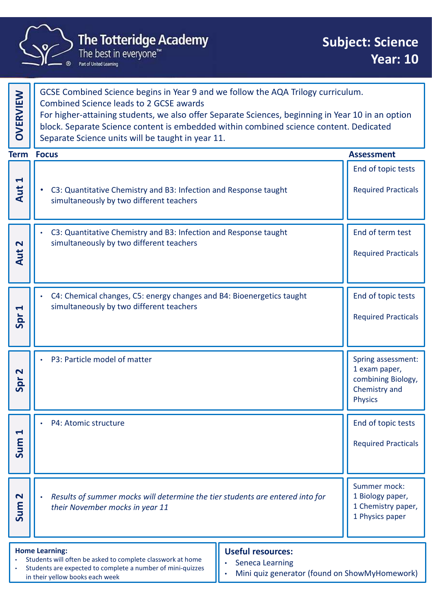

in their yellow books each week

|                             | <b>The Totteridge Academy</b><br>The best in everyone™<br>Part of United Learning                                                                                                                                                                                                                                                                                                      | <b>Subject: Science</b><br><b>Year: 10</b>                                                   |  |
|-----------------------------|----------------------------------------------------------------------------------------------------------------------------------------------------------------------------------------------------------------------------------------------------------------------------------------------------------------------------------------------------------------------------------------|----------------------------------------------------------------------------------------------|--|
| OVERVIEW                    | GCSE Combined Science begins in Year 9 and we follow the AQA Trilogy curriculum.<br><b>Combined Science leads to 2 GCSE awards</b><br>For higher-attaining students, we also offer Separate Sciences, beginning in Year 10 in an option<br>block. Separate Science content is embedded within combined science content. Dedicated<br>Separate Science units will be taught in year 11. |                                                                                              |  |
|                             | <b>Term Focus</b>                                                                                                                                                                                                                                                                                                                                                                      | <b>Assessment</b>                                                                            |  |
| $\blacktriangleleft$<br>Aut | C3: Quantitative Chemistry and B3: Infection and Response taught<br>$\bullet$<br>simultaneously by two different teachers                                                                                                                                                                                                                                                              | End of topic tests<br><b>Required Practicals</b>                                             |  |
| $\mathbf N$<br>Aut          | C3: Quantitative Chemistry and B3: Infection and Response taught<br>$\bullet$<br>simultaneously by two different teachers                                                                                                                                                                                                                                                              | End of term test<br><b>Required Practicals</b>                                               |  |
| $\blacktriangleleft$<br>Spr | C4: Chemical changes, C5: energy changes and B4: Bioenergetics taught<br>simultaneously by two different teachers                                                                                                                                                                                                                                                                      | End of topic tests<br><b>Required Practicals</b>                                             |  |
| $\mathbf N$<br>Spr          | P3: Particle model of matter                                                                                                                                                                                                                                                                                                                                                           | Spring assessment:<br>1 exam paper,<br>combining Biology,<br>Chemistry and<br><b>Physics</b> |  |
| $\blacktriangleleft$<br>Sum | P4: Atomic structure                                                                                                                                                                                                                                                                                                                                                                   | End of topic tests<br><b>Required Practicals</b>                                             |  |
| $\mathbf{\Omega}$<br>Sum    | Results of summer mocks will determine the tier students are entered into for<br>their November mocks in year 11                                                                                                                                                                                                                                                                       | Summer mock:<br>1 Biology paper,<br>1 Chemistry paper,<br>1 Physics paper                    |  |
|                             | <b>Home Learning:</b><br><b>Useful resources:</b><br>Students will often be asked to complete classwork at home<br><b>Seneca Learning</b><br>Students are expected to complete a number of mini-quizzes<br>Mini quiz generator (found on ShowMyHomework)<br>in their vellow hooks each week                                                                                            |                                                                                              |  |